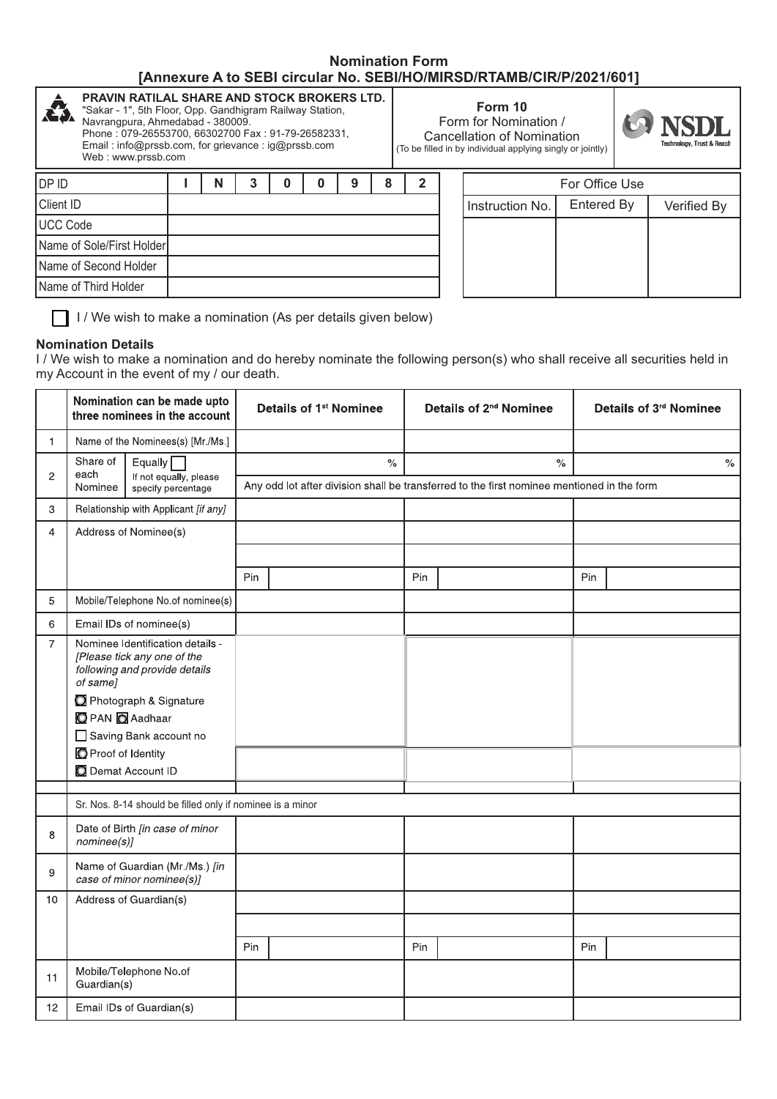## **Nomination Form [Annexure A to SEBI circular No. SEBI/HO/MIRSD/RTAMB/CIR/P/2021/601]**

| <b>PRAVIN RATILAL SHARE AND STOCK BROKERS LTD.</b><br>Æ3.<br>"Sakar - 1", 5th Floor, Opp. Gandhigram Railway Station,<br>Navrangpura, Ahmedabad - 380009.<br>Phone: 079-26553700, 66302700 Fax: 91-79-26582331,<br>Email: info@prssb.com, for grievance: ig@prssb.com<br>Web: www.prssb.com |  |   |  |  | Form 10<br>Form for Nomination /<br>Cancellation of Nomination<br>(To be filled in by individual applying singly or jointly) |   |  | <b>MONSDL</b><br>Technology, Trust & Reach |                 |            |  |             |
|---------------------------------------------------------------------------------------------------------------------------------------------------------------------------------------------------------------------------------------------------------------------------------------------|--|---|--|--|------------------------------------------------------------------------------------------------------------------------------|---|--|--------------------------------------------|-----------------|------------|--|-------------|
| <b>DPID</b>                                                                                                                                                                                                                                                                                 |  | N |  |  | 9                                                                                                                            | 8 |  |                                            | For Office Use  |            |  |             |
| Client ID                                                                                                                                                                                                                                                                                   |  |   |  |  |                                                                                                                              |   |  |                                            | Instruction No. | Entered By |  | Verified By |
| <b>UCC Code</b>                                                                                                                                                                                                                                                                             |  |   |  |  |                                                                                                                              |   |  |                                            |                 |            |  |             |
| Name of Sole/First Holder                                                                                                                                                                                                                                                                   |  |   |  |  |                                                                                                                              |   |  |                                            |                 |            |  |             |
| Name of Second Holder                                                                                                                                                                                                                                                                       |  |   |  |  |                                                                                                                              |   |  |                                            |                 |            |  |             |
| Name of Third Holder                                                                                                                                                                                                                                                                        |  |   |  |  |                                                                                                                              |   |  |                                            |                 |            |  |             |
|                                                                                                                                                                                                                                                                                             |  |   |  |  |                                                                                                                              |   |  |                                            |                 |            |  |             |

 $\Box$  I / We wish to make a nomination (As per details given below)

## **Nomination Details**

I / We wish to make a nomination and do hereby nominate the following person(s) who shall receive all securities held in my Account in the event of my / our death.

|                | Nomination can be made upto<br>three nominees in the account                                                                                                                                      |     | Details of 1 <sup>st</sup> Nominee                                                         |     | Details of 2 <sup>nd</sup> Nominee |     | Details of 3rd Nominee |  |  |
|----------------|---------------------------------------------------------------------------------------------------------------------------------------------------------------------------------------------------|-----|--------------------------------------------------------------------------------------------|-----|------------------------------------|-----|------------------------|--|--|
| 1              | Name of the Nominees(s) [Mr /Ms.]                                                                                                                                                                 |     |                                                                                            |     |                                    |     |                        |  |  |
|                | Share of<br>Equally $\Box$<br>each<br>$\overline{2}$<br>If not equally, please<br>Nominee<br>specify percentage                                                                                   |     | $\%$                                                                                       |     | $\frac{6}{6}$                      |     | $\%$                   |  |  |
|                |                                                                                                                                                                                                   |     | Any odd lot after division shall be transferred to the first nominee mentioned in the form |     |                                    |     |                        |  |  |
| 3              | Relationship with Applicant [if any]                                                                                                                                                              |     |                                                                                            |     |                                    |     |                        |  |  |
| $\overline{4}$ | Address of Nominee(s)                                                                                                                                                                             |     |                                                                                            |     |                                    |     |                        |  |  |
|                |                                                                                                                                                                                                   |     |                                                                                            |     |                                    |     |                        |  |  |
|                |                                                                                                                                                                                                   | Pin |                                                                                            | Pin |                                    | Pin |                        |  |  |
| 5              | Mobile/Telephone No.of nominee(s)                                                                                                                                                                 |     |                                                                                            |     |                                    |     |                        |  |  |
| 6              | Email IDs of nominee(s)                                                                                                                                                                           |     |                                                                                            |     |                                    |     |                        |  |  |
| $\overline{7}$ | Nominee Identification details -<br>[Please tick any one of the<br>following and provide details<br>of same]<br>Photograph & Signature<br><b>O</b> PAN <b>O</b> Aadhaar<br>Saving Bank account no |     |                                                                                            |     |                                    |     |                        |  |  |
|                | Proof of Identity<br>Demat Account ID                                                                                                                                                             |     |                                                                                            |     |                                    |     |                        |  |  |
|                | Sr. Nos. 8-14 should be filled only if nominee is a minor                                                                                                                                         |     |                                                                                            |     |                                    |     |                        |  |  |
| 8              | Date of Birth [in case of minor<br>nominee(s)]                                                                                                                                                    |     |                                                                                            |     |                                    |     |                        |  |  |
| 9              | Name of Guardian (Mr./Ms.) [in<br>case of minor nominee(s)]                                                                                                                                       |     |                                                                                            |     |                                    |     |                        |  |  |
| 10             | Address of Guardian(s)                                                                                                                                                                            |     |                                                                                            |     |                                    |     |                        |  |  |
|                |                                                                                                                                                                                                   |     |                                                                                            |     |                                    |     |                        |  |  |
|                |                                                                                                                                                                                                   | Pin |                                                                                            | Pin |                                    | Pin |                        |  |  |
| 11             | Mobile/Telephone No.of<br>Guardian(s)                                                                                                                                                             |     |                                                                                            |     |                                    |     |                        |  |  |
| 12             | Email IDs of Guardian(s)                                                                                                                                                                          |     |                                                                                            |     |                                    |     |                        |  |  |